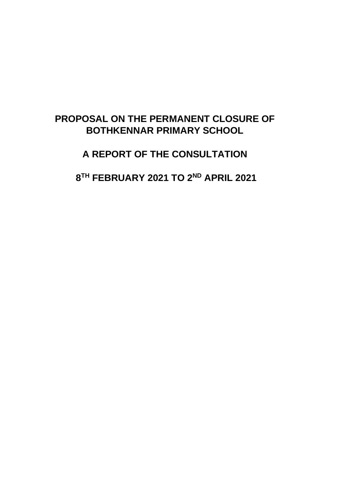## **PROPOSAL ON THE PERMANENT CLOSURE OF BOTHKENNAR PRIMARY SCHOOL**

**A REPORT OF THE CONSULTATION**

**8 TH FEBRUARY 2021 TO 2ND APRIL 2021**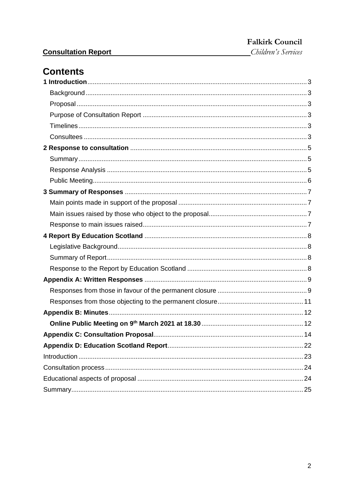Children's Services

## **Contents**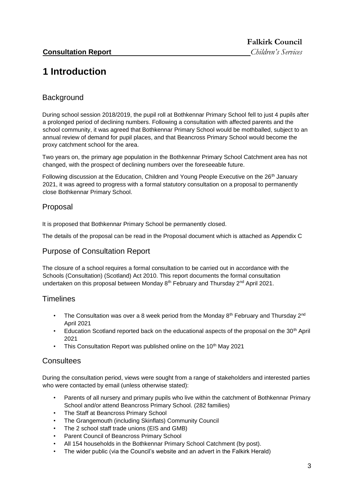## <span id="page-2-0"></span>**1 Introduction**

### <span id="page-2-1"></span>**Background**

During school session 2018/2019, the pupil roll at Bothkennar Primary School fell to just 4 pupils after a prolonged period of declining numbers. Following a consultation with affected parents and the school community, it was agreed that Bothkennar Primary School would be mothballed, subject to an annual review of demand for pupil places, and that Beancross Primary School would become the proxy catchment school for the area.

Two years on, the primary age population in the Bothkennar Primary School Catchment area has not changed, with the prospect of declining numbers over the foreseeable future.

Following discussion at the Education, Children and Young People Executive on the 26<sup>th</sup> January 2021, it was agreed to progress with a formal statutory consultation on a proposal to permanently close Bothkennar Primary School.

#### <span id="page-2-2"></span>Proposal

It is proposed that Bothkennar Primary School be permanently closed.

The details of the proposal can be read in the Proposal document which is attached as Appendix C

#### <span id="page-2-3"></span>Purpose of Consultation Report

The closure of a school requires a formal consultation to be carried out in accordance with the Schools (Consultation) (Scotland) Act 2010. This report documents the formal consultation undertaken on this proposal between Monday 8<sup>th</sup> February and Thursday 2<sup>nd</sup> April 2021.

#### <span id="page-2-4"></span>**Timelines**

- The Consultation was over a 8 week period from the Monday  $8<sup>th</sup>$  February and Thursday  $2<sup>nd</sup>$ April 2021
- Education Scotland reported back on the educational aspects of the proposal on the 30<sup>th</sup> April 2021
- This Consultation Report was published online on the 10<sup>th</sup> May 2021

#### <span id="page-2-5"></span>**Consultees**

During the consultation period, views were sought from a range of stakeholders and interested parties who were contacted by email (unless otherwise stated):

- Parents of all nursery and primary pupils who live within the catchment of Bothkennar Primary School and/or attend Beancross Primary School. (282 families)
- The Staff at Beancross Primary School
- The Grangemouth (including Skinflats) Community Council
- The 2 school staff trade unions (EIS and GMB)
- Parent Council of Beancross Primary School
- All 154 households in the Bothkennar Primary School Catchment (by post).
- The wider public (via the Council's website and an advert in the Falkirk Herald)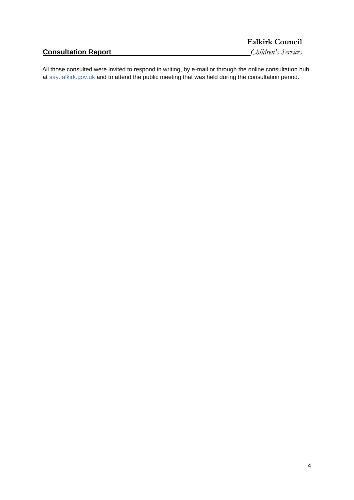| <b>Consultation Report</b> |  |
|----------------------------|--|
|----------------------------|--|

**Falkirk Council Consultation Report** *Children's Services*

All those consulted were invited to respond in writing, by e-mail or through the online consultation hub at say.falkirk.gov.uk and to attend the public meeting that was held during the consultation period.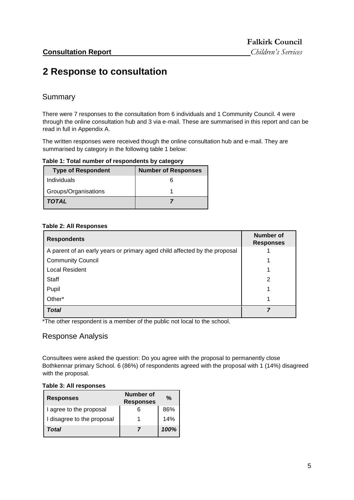## <span id="page-4-0"></span>**2 Response to consultation**

#### <span id="page-4-1"></span>Summary

There were 7 responses to the consultation from 6 individuals and 1 Community Council. 4 were through the online consultation hub and 3 via e-mail. These are summarised in this report and can be read in full in Appendix A.

The written responses were received though the online consultation hub and e-mail. They are summarised by category in the following table 1 below:

**Table 1: Total number of respondents by category** 

| <b>Type of Respondent</b> | <b>Number of Responses</b> |
|---------------------------|----------------------------|
| Individuals               |                            |
| Groups/Organisations      |                            |
| <b>TOTAL</b>              |                            |

#### **Table 2: All Responses**

| <b>Respondents</b>                                                        | <b>Number of</b><br><b>Responses</b> |
|---------------------------------------------------------------------------|--------------------------------------|
| A parent of an early years or primary aged child affected by the proposal |                                      |
| <b>Community Council</b>                                                  |                                      |
| <b>Local Resident</b>                                                     |                                      |
| <b>Staff</b>                                                              | 2                                    |
| Pupil                                                                     |                                      |
| Other*                                                                    |                                      |
| <b>Total</b>                                                              |                                      |

\*The other respondent is a member of the public not local to the school.

#### <span id="page-4-2"></span>Response Analysis

Consultees were asked the question: Do you agree with the proposal to permanently close Bothkennar primary School. 6 (86%) of respondents agreed with the proposal with 1 (14%) disagreed with the proposal.

#### **Table 3: All responses**

| <b>Responses</b>           | <b>Number of</b><br><b>Responses</b> | $\frac{0}{0}$ |
|----------------------------|--------------------------------------|---------------|
| I agree to the proposal    |                                      | 86%           |
| I disagree to the proposal |                                      | 14%           |
| Total                      |                                      | 100%          |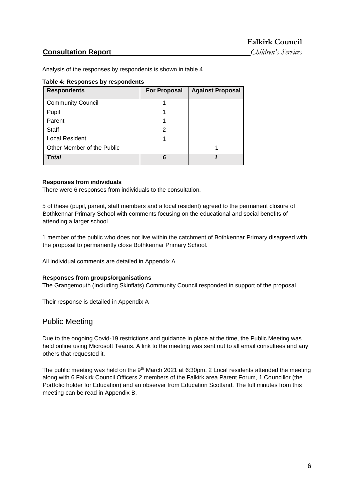Analysis of the responses by respondents is shown in table 4.

#### **Table 4: Responses by respondents**

| <b>Respondents</b>         | <b>For Proposal</b> | <b>Against Proposal</b> |
|----------------------------|---------------------|-------------------------|
| <b>Community Council</b>   |                     |                         |
| Pupil                      |                     |                         |
| Parent                     |                     |                         |
| Staff                      | 2                   |                         |
| <b>Local Resident</b>      |                     |                         |
| Other Member of the Public |                     |                         |
| Total                      | 6                   |                         |

#### **Responses from individuals**

There were 6 responses from individuals to the consultation.

5 of these (pupil, parent, staff members and a local resident) agreed to the permanent closure of Bothkennar Primary School with comments focusing on the educational and social benefits of attending a larger school.

1 member of the public who does not live within the catchment of Bothkennar Primary disagreed with the proposal to permanently close Bothkennar Primary School.

All individual comments are detailed in Appendix A

#### **Responses from groups/organisations**

The Grangemouth (Including Skinflats) Community Council responded in support of the proposal.

Their response is detailed in Appendix A

#### <span id="page-5-0"></span>Public Meeting

Due to the ongoing Covid-19 restrictions and guidance in place at the time, the Public Meeting was held online using Microsoft Teams. A link to the meeting was sent out to all email consultees and any others that requested it.

The public meeting was held on the  $9<sup>th</sup>$  March 2021 at 6:30pm. 2 Local residents attended the meeting along with 6 Falkirk Council Officers 2 members of the Falkirk area Parent Forum, 1 Councillor (the Portfolio holder for Education) and an observer from Education Scotland. The full minutes from this meeting can be read in Appendix B.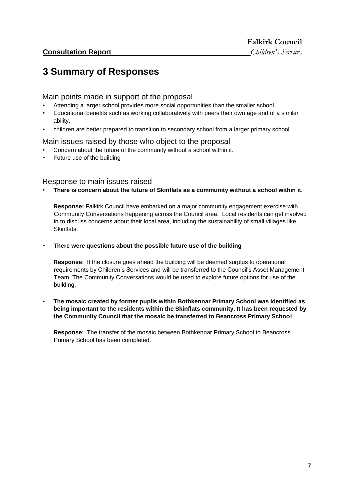## <span id="page-6-0"></span>**3 Summary of Responses**

#### <span id="page-6-1"></span>Main points made in support of the proposal

- Attending a larger school provides more social opportunities than the smaller school
- Educational benefits such as working collaboratively with peers their own age and of a similar ability.
- children are better prepared to transition to secondary school from a larger primary school

#### <span id="page-6-2"></span>Main issues raised by those who object to the proposal

- Concern about the future of the community without a school within it.
- Future use of the building

#### <span id="page-6-3"></span>Response to main issues raised

• **There is concern about the future of Skinflats as a community without a school within it.** 

**Response:** Falkirk Council have embarked on a major community engagement exercise with Community Conversations happening across the Council area. Local residents can get involved in to discuss concerns about their local area, including the sustainability of small villages like **Skinflats** 

#### • **There were questions about the possible future use of the building**

**Response**: If the closure goes ahead the building will be deemed surplus to operational requirements by Children's Services and will be transferred to the Council's Asset Management Team. The Community Conversations would be used to explore future options for use of the building.

• **The mosaic created by former pupils within Bothkennar Primary School was identified as being important to the residents within the Skinflats community. It has been requested by the Community Council that the mosaic be transferred to Beancross Primary School**

**Response**:. The transfer of the mosaic between Bothkennar Primary School to Beancross Primary School has been completed.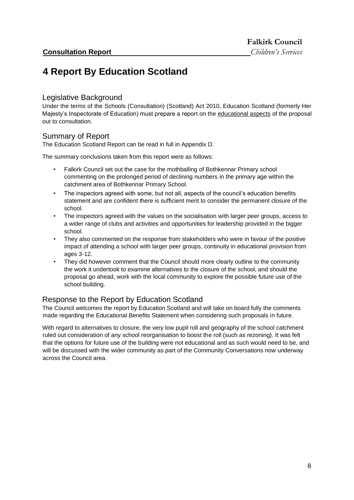## <span id="page-7-0"></span>**4 Report By Education Scotland**

#### <span id="page-7-1"></span>Legislative Background

Under the terms of the Schools (Consultation) (Scotland) Act 2010, Education Scotland (formerly Her Majesty's Inspectorate of Education) must prepare a report on the educational aspects of the proposal out to consultation.

#### <span id="page-7-2"></span>Summary of Report

The Education Scotland Report can be read in full in Appendix D.

The summary conclusions taken from this report were as follows:

- Falkirk Council set out the case for the mothballing of Bothkennar Primary school commenting on the prolonged period of declining numbers in the primary age within the catchment area of Bothkennar Primary School.
- The inspectors agreed with some, but not all, aspects of the council's education benefits statement and are confident there is sufficient merit to consider the permanent closure of the school.
- The inspectors agreed with the values on the socialisation with larger peer groups, access to a wider range of clubs and activities and opportunities for leadership provided in the bigger school.
- They also commented on the response from stakeholders who were in favour of the positive impact of attending a school with larger peer groups, continuity in educational provision from ages 3-12.
- They did however comment that the Council should more clearly outline to the community the work it undertook to examine alternatives to the closure of the school, and should the proposal go ahead, work with the local community to explore the possible future use of the school building.

#### <span id="page-7-3"></span>Response to the Report by Education Scotland

The Council welcomes the report by Education Scotland and will take on board fully the comments made regarding the Educational Benefits Statement when considering such proposals in future.

With regard to alternatives to closure, the very low pupil roll and geography of the school catchment ruled out consideration of any school reorganisation to boost the roll (such as rezoning). It was felt that the options for future use of the building were not educational and as such would need to be, and will be discussed with the wider community as part of the Community Conversations now underway across the Council area.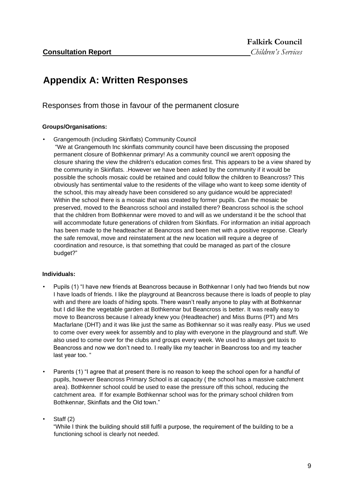## <span id="page-8-0"></span>**Appendix A: Written Responses**

#### <span id="page-8-1"></span>Responses from those in favour of the permanent closure

#### **Groups/Organisations:**

- Grangemouth (including Skinflats) Community Council
- "We at Grangemouth Inc skinflats community council have been discussing the proposed permanent closure of Bothkennar primary! As a community council we aren't opposing the closure sharing the view the children's education comes first. This appears to be a view shared by the community in Skinflats. .However we have been asked by the community if it would be possible the schools mosaic could be retained and could follow the children to Beancross? This obviously has sentimental value to the residents of the village who want to keep some identity of the school, this may already have been considered so any guidance would be appreciated! Within the school there is a mosaic that was created by former pupils. Can the mosaic be preserved, moved to the Beancross school and installed there? Beancross school is the school that the children from Bothkennar were moved to and will as we understand it be the school that will accommodate future generations of children from Skinflats. For information an initial approach has been made to the headteacher at Beancross and been met with a positive response. Clearly the safe removal, move and reinstatement at the new location will require a degree of coordination and resource, is that something that could be managed as part of the closure budget?"

#### **Individuals:**

- Pupils (1) "I have new friends at Beancross because in Bothkennar I only had two friends but now I have loads of friends. I like the playground at Beancross because there is loads of people to play with and there are loads of hiding spots. There wasn't really anyone to play with at Bothkennar but I did like the vegetable garden at Bothkennar but Beancross is better. It was really easy to move to Beancross because I already knew you (Headteacher) and Miss Burns (PT) and Mrs Macfarlane (DHT) and it was like just the same as Bothkennar so it was really easy. Plus we used to come over every week for assembly and to play with everyone in the playground and stuff. We also used to come over for the clubs and groups every week. We used to always get taxis to Beancross and now we don't need to. I really like my teacher in Beancross too and my teacher last year too. "
- Parents (1) "I agree that at present there is no reason to keep the school open for a handful of pupils, however Beancross Primary School is at capacity ( the school has a massive catchment area). Bothkenner school could be used to ease the pressure off this school, reducing the catchment area. If for example Bothkennar school was for the primary school children from Bothkennar, Skinflats and the Old town."

Staff (2)

"While I think the building should still fulfil a purpose, the requirement of the building to be a functioning school is clearly not needed.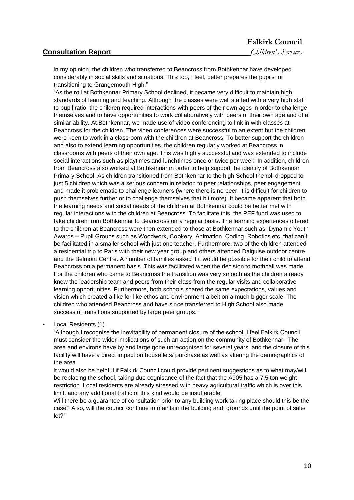#### **Falkirk Council**

In my opinion, the children who transferred to Beancross from Bothkennar have developed considerably in social skills and situations. This too, I feel, better prepares the pupils for transitioning to Grangemouth High."

"As the roll at Bothkennar Primary School declined, it became very difficult to maintain high standards of learning and teaching. Although the classes were well staffed with a very high staff to pupil ratio, the children required interactions with peers of their own ages in order to challenge themselves and to have opportunities to work collaboratively with peers of their own age and of a similar ability. At Bothkennar, we made use of video conferencing to link in with classes at Beancross for the children. The video conferences were successful to an extent but the children were keen to work in a classroom with the children at Beancross. To better support the children and also to extend learning opportunities, the children regularly worked at Beancross in classrooms with peers of their own age. This was highly successful and was extended to include social interactions such as playtimes and lunchtimes once or twice per week. In addition, children from Beancross also worked at Bothkennar in order to help support the identify of Bothkennar Primary School. As children transitioned from Bothkennar to the high School the roll dropped to just 5 children which was a serious concern in relation to peer relationships, peer engagement and made it problematic to challenge learners (where there is no peer, it is difficult for children to push themselves further or to challenge themselves that bit more). It became apparent that both the learning needs and social needs of the children at Bothkennar could be better met with regular interactions with the children at Beancross. To facilitate this, the PEF fund was used to take children from Bothkennar to Beancross on a regular basis. The learning experiences offered to the children at Beancross were then extended to those at Bothkennar such as, Dynamic Youth Awards – Pupil Groups such as Woodwork, Cookery, Animation, Coding, Robotics etc. that can't be facilitated in a smaller school with just one teacher. Furthermore, two of the children attended a residential trip to Paris with their new year group and others attended Dalguise outdoor centre and the Belmont Centre. A number of families asked if it would be possible for their child to attend Beancross on a permanent basis. This was facilitated when the decision to mothball was made. For the children who came to Beancross the transition was very smooth as the children already knew the leadership team and peers from their class from the regular visits and collaborative learning opportunities. Furthermore, both schools shared the same expectations, values and vision which created a like for like ethos and environment albeit on a much bigger scale. The children who attended Beancross and have since transferred to High School also made successful transitions supported by large peer groups."

• Local Residents (1)

"Although I recognise the inevitability of permanent closure of the school, I feel Falkirk Council must consider the wider implications of such an action on the community of Bothkennar. The area and environs have by and large gone unrecognised for several years and the closure of this facility will have a direct impact on house lets/ purchase as well as altering the demographics of the area.

It would also be helpful if Falkirk Council could provide pertinent suggestions as to what may/will be replacing the school, taking due cognisance of the fact that the A905 has a 7.5 ton weight restriction. Local residents are already stressed with heavy agricultural traffic which is over this limit, and any additional traffic of this kind would be insufferable.

Will there be a guarantee of consultation prior to any building work taking place should this be the case? Also, will the council continue to maintain the building and grounds until the point of sale/ let?"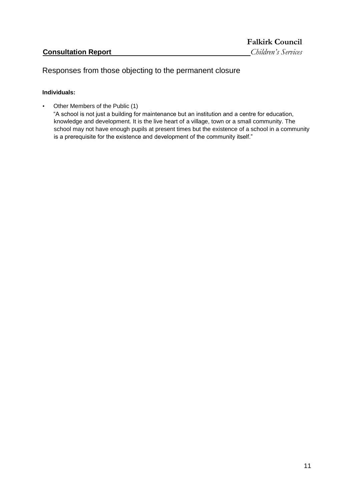### <span id="page-10-0"></span>Responses from those objecting to the permanent closure

#### **Individuals:**

• Other Members of the Public (1)

"A school is not just a building for maintenance but an institution and a centre for education, knowledge and development. It is the live heart of a village, town or a small community. The school may not have enough pupils at present times but the existence of a school in a community is a prerequisite for the existence and development of the community itself."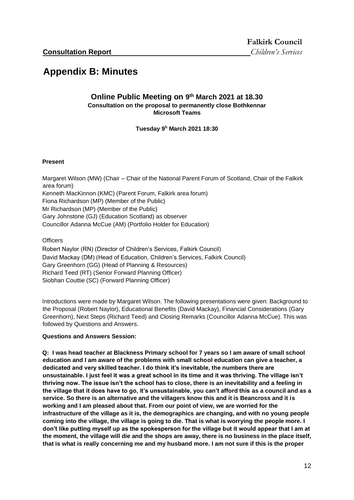## <span id="page-11-1"></span><span id="page-11-0"></span>**Appendix B: Minutes**

#### **Online Public Meeting on 9 th March 2021 at 18.30 Consultation on the proposal to permanently close Bothkennar Microsoft Teams**

**Tuesday 9<sup>h</sup> March 2021 18:30** 

#### **Present**

Margaret Wilson (MW) (Chair – Chair of the National Parent Forum of Scotland, Chair of the Falkirk area forum) Kenneth MacKinnon (KMC) (Parent Forum, Falkirk area forum) Fiona Richardson (MP) (Member of the Public) Mr Richardson (MP) (Member of the Public) Gary Johnstone (GJ) (Education Scotland) as observer Councillor Adanna McCue (AM) (Portfolio Holder for Education)

**Officers** 

Robert Naylor (RN) (Director of Children's Services, Falkirk Council) David Mackay (DM) (Head of Education, Children's Services, Falkirk Council) Gary Greenhorn (GG) (Head of Planning & Resources) Richard Teed (RT) (Senior Forward Planning Officer) Siobhan Couttie (SC) (Forward Planning Officer)

Introductions were made by Margaret Wilson. The following presentations were given: Background to the Proposal (Robert Naylor), Educational Benefits (David Mackay), Financial Considerations (Gary Greenhorn), Next Steps (Richard Teed) and Closing Remarks (Councillor Adanna McCue). This was followed by Questions and Answers.

#### **Questions and Answers Session:**

**Q: I was head teacher at Blackness Primary school for 7 years so I am aware of small school education and I am aware of the problems with small school education can give a teacher, a dedicated and very skilled teacher. I do think it's inevitable, the numbers there are unsustainable. I just feel it was a great school in its time and it was thriving. The village isn't thriving now. The issue isn't the school has to close, there is an inevitability and a feeling in the village that it does have to go, it's unsustainable, you can't afford this as a council and as a service. So there is an alternative and the villagers know this and it is Beancross and it is working and I am pleased about that. From our point of view, we are worried for the infrastructure of the village as it is, the demographics are changing, and with no young people coming into the village, the village is going to die. That is what is worrying the people more. I don't like putting myself up as the spokesperson for the village but it would appear that I am at the moment, the village will die and the shops are away, there is no business in the place itself, that is what is really concerning me and my husband more. I am not sure if this is the proper**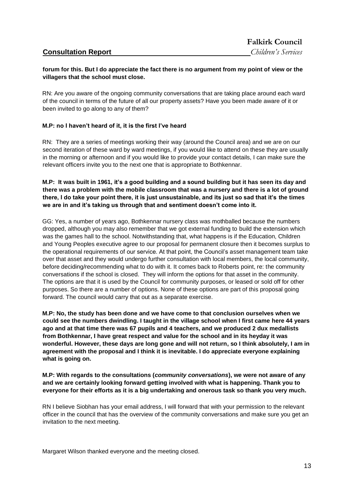#### **forum for this. But I do appreciate the fact there is no argument from my point of view or the villagers that the school must close.**

RN: Are you aware of the ongoing community conversations that are taking place around each ward of the council in terms of the future of all our property assets? Have you been made aware of it or been invited to go along to any of them?

#### **M.P: no I haven't heard of it, it is the first I've heard**

RN: They are a series of meetings working their way (around the Council area) and we are on our second iteration of these ward by ward meetings, if you would like to attend on these they are usually in the morning or afternoon and if you would like to provide your contact details, I can make sure the relevant officers invite you to the next one that is appropriate to Bothkennar.

#### **M.P: It was built in 1961, it's a good building and a sound building but it has seen its day and there was a problem with the mobile classroom that was a nursery and there is a lot of ground there, I do take your point there, it is just unsustainable, and its just so sad that it's the times we are in and it's taking us through that and sentiment doesn't come into it.**

GG: Yes, a number of years ago, Bothkennar nursery class was mothballed because the numbers dropped, although you may also remember that we got external funding to build the extension which was the games hall to the school. Notwithstanding that, what happens is if the Education, Children and Young Peoples executive agree to our proposal for permanent closure then it becomes surplus to the operational requirements of our service. At that point, the Council's asset management team take over that asset and they would undergo further consultation with local members, the local community, before deciding/recommending what to do with it. It comes back to Roberts point, re: the community conversations if the school is closed. They will inform the options for that asset in the community. The options are that it is used by the Council for community purposes, or leased or sold off for other purposes. So there are a number of options. None of these options are part of this proposal going forward. The council would carry that out as a separate exercise.

**M.P: No, the study has been done and we have come to that conclusion ourselves when we could see the numbers dwindling. I taught in the village school when I first came here 44 years ago and at that time there was 67 pupils and 4 teachers, and we produced 2 dux medallists from Bothkennar, I have great respect and value for the school and in its heyday it was wonderful. However, these days are long gone and will not return, so I think absolutely, I am in agreement with the proposal and I think it is inevitable. I do appreciate everyone explaining what is going on.** 

#### **M.P: With regards to the consultations (***community conversations***), we were not aware of any and we are certainly looking forward getting involved with what is happening. Thank you to everyone for their efforts as it is a big undertaking and onerous task so thank you very much.**

RN I believe Siobhan has your email address, I will forward that with your permission to the relevant officer in the council that has the overview of the community conversations and make sure you get an invitation to the next meeting.

Margaret Wilson thanked everyone and the meeting closed.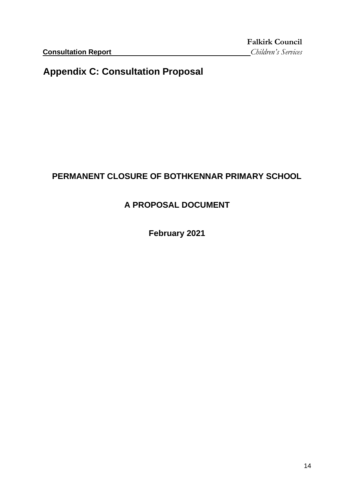## <span id="page-13-0"></span>**Appendix C: Consultation Proposal**

## **PERMANENT CLOSURE OF BOTHKENNAR PRIMARY SCHOOL**

## **A PROPOSAL DOCUMENT**

**February 2021**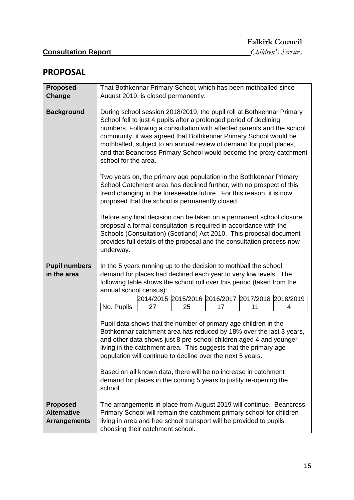## **PROPOSAL**

| <b>Proposed</b>                                              | That Bothkennar Primary School, which has been mothballed since                                                                                                                                                                                                                                                                                                                                                                                                                                   |  |  |
|--------------------------------------------------------------|---------------------------------------------------------------------------------------------------------------------------------------------------------------------------------------------------------------------------------------------------------------------------------------------------------------------------------------------------------------------------------------------------------------------------------------------------------------------------------------------------|--|--|
| Change                                                       | August 2019, is closed permanently.                                                                                                                                                                                                                                                                                                                                                                                                                                                               |  |  |
|                                                              |                                                                                                                                                                                                                                                                                                                                                                                                                                                                                                   |  |  |
| <b>Background</b>                                            | During school session 2018/2019, the pupil roll at Bothkennar Primary<br>School fell to just 4 pupils after a prolonged period of declining<br>numbers. Following a consultation with affected parents and the school<br>community, it was agreed that Bothkennar Primary School would be<br>mothballed, subject to an annual review of demand for pupil places,<br>and that Beancross Primary School would become the proxy catchment<br>school for the area.                                    |  |  |
|                                                              | Two years on, the primary age population in the Bothkennar Primary<br>School Catchment area has declined further, with no prospect of this<br>trend changing in the foreseeable future. For this reason, it is now<br>proposed that the school is permanently closed.                                                                                                                                                                                                                             |  |  |
|                                                              | Before any final decision can be taken on a permanent school closure<br>proposal a formal consultation is required in accordance with the<br>Schools (Consultation) (Scotland) Act 2010. This proposal document<br>provides full details of the proposal and the consultation process now<br>underway.                                                                                                                                                                                            |  |  |
| <b>Pupil numbers</b><br>in the area                          | In the 5 years running up to the decision to mothball the school,<br>demand for places had declined each year to very low levels. The<br>following table shows the school roll over this period (taken from the<br>annual school census):                                                                                                                                                                                                                                                         |  |  |
|                                                              | 2014/2015 2015/2016 2016/2017 2017/2018 2018/2019                                                                                                                                                                                                                                                                                                                                                                                                                                                 |  |  |
|                                                              | No. Pupils<br>27<br>17<br>11<br>25<br>4                                                                                                                                                                                                                                                                                                                                                                                                                                                           |  |  |
|                                                              | Pupil data shows that the number of primary age children in the<br>Bothkennar catchment area has reduced by 18% over the last 3 years,<br>and other data shows just 8 pre-school children aged 4 and younger<br>living in the catchment area. This suggests that the primary age<br>population will continue to decline over the next 5 years.<br>Based on all known data, there will be no increase in catchment<br>demand for places in the coming 5 years to justify re-opening the<br>school. |  |  |
| <b>Proposed</b><br><b>Alternative</b><br><b>Arrangements</b> | The arrangements in place from August 2019 will continue. Beancross<br>Primary School will remain the catchment primary school for children<br>living in area and free school transport will be provided to pupils<br>choosing their catchment school.                                                                                                                                                                                                                                            |  |  |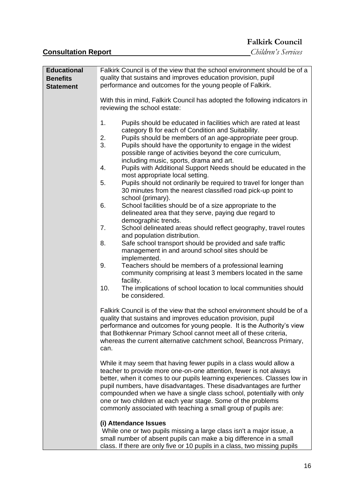**Falkirk Council** 

**Consultation Report** *Children's Services*

| <b>Educational</b> | Falkirk Council is of the view that the school environment should be of a                                                                                                                                                                                                                                                                                                                                                                                                                            |
|--------------------|------------------------------------------------------------------------------------------------------------------------------------------------------------------------------------------------------------------------------------------------------------------------------------------------------------------------------------------------------------------------------------------------------------------------------------------------------------------------------------------------------|
| <b>Benefits</b>    | quality that sustains and improves education provision, pupil                                                                                                                                                                                                                                                                                                                                                                                                                                        |
| <b>Statement</b>   | performance and outcomes for the young people of Falkirk.                                                                                                                                                                                                                                                                                                                                                                                                                                            |
|                    |                                                                                                                                                                                                                                                                                                                                                                                                                                                                                                      |
|                    | With this in mind, Falkirk Council has adopted the following indicators in<br>reviewing the school estate:                                                                                                                                                                                                                                                                                                                                                                                           |
|                    | 1.<br>Pupils should be educated in facilities which are rated at least<br>category B for each of Condition and Suitability.                                                                                                                                                                                                                                                                                                                                                                          |
|                    | 2.<br>Pupils should be members of an age-appropriate peer group.<br>3.<br>Pupils should have the opportunity to engage in the widest<br>possible range of activities beyond the core curriculum,<br>including music, sports, drama and art.                                                                                                                                                                                                                                                          |
|                    | 4.<br>Pupils with Additional Support Needs should be educated in the<br>most appropriate local setting.                                                                                                                                                                                                                                                                                                                                                                                              |
|                    | 5.<br>Pupils should not ordinarily be required to travel for longer than<br>30 minutes from the nearest classified road pick-up point to<br>school (primary).                                                                                                                                                                                                                                                                                                                                        |
|                    | 6.<br>School facilities should be of a size appropriate to the<br>delineated area that they serve, paying due regard to<br>demographic trends.                                                                                                                                                                                                                                                                                                                                                       |
|                    | 7.<br>School delineated areas should reflect geography, travel routes<br>and population distribution.                                                                                                                                                                                                                                                                                                                                                                                                |
|                    | 8.<br>Safe school transport should be provided and safe traffic<br>management in and around school sites should be                                                                                                                                                                                                                                                                                                                                                                                   |
|                    | implemented.<br>9.<br>Teachers should be members of a professional learning<br>community comprising at least 3 members located in the same<br>facility.                                                                                                                                                                                                                                                                                                                                              |
|                    | 10.<br>The implications of school location to local communities should<br>be considered.                                                                                                                                                                                                                                                                                                                                                                                                             |
|                    | Falkirk Council is of the view that the school environment should be of a<br>quality that sustains and improves education provision, pupil<br>performance and outcomes for young people. It is the Authority's view<br>that Bothkennar Primary School cannot meet all of these criteria,<br>whereas the current alternative catchment school, Beancross Primary,<br>can.                                                                                                                             |
|                    | While it may seem that having fewer pupils in a class would allow a<br>teacher to provide more one-on-one attention, fewer is not always<br>better, when it comes to our pupils learning experiences. Classes low in<br>pupil numbers, have disadvantages. These disadvantages are further<br>compounded when we have a single class school, potentially with only<br>one or two children at each year stage. Some of the problems<br>commonly associated with teaching a small group of pupils are: |
|                    | (i) Attendance Issues<br>While one or two pupils missing a large class isn't a major issue, a<br>small number of absent pupils can make a big difference in a small<br>class. If there are only five or 10 pupils in a class, two missing pupils                                                                                                                                                                                                                                                     |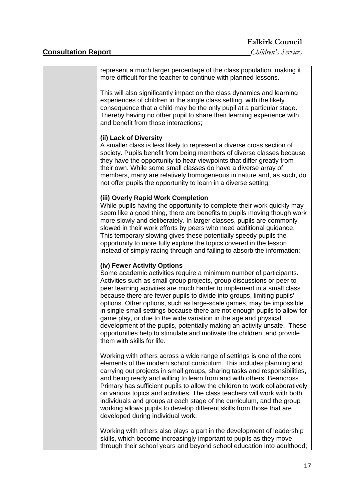| represent a much larger percentage of the class population, making it<br>more difficult for the teacher to continue with planned lessons.                                                                                                                                                                                                                                                                                                                                                                                                                                                                                                                                                                                                 |
|-------------------------------------------------------------------------------------------------------------------------------------------------------------------------------------------------------------------------------------------------------------------------------------------------------------------------------------------------------------------------------------------------------------------------------------------------------------------------------------------------------------------------------------------------------------------------------------------------------------------------------------------------------------------------------------------------------------------------------------------|
| This will also significantly impact on the class dynamics and learning<br>experiences of children in the single class setting, with the likely<br>consequence that a child may be the only pupil at a particular stage.<br>Thereby having no other pupil to share their learning experience with<br>and benefit from those interactions;                                                                                                                                                                                                                                                                                                                                                                                                  |
| (ii) Lack of Diversity<br>A smaller class is less likely to represent a diverse cross section of<br>society. Pupils benefit from being members of diverse classes because<br>they have the opportunity to hear viewpoints that differ greatly from<br>their own. While some small classes do have a diverse array of<br>members, many are relatively homogeneous in nature and, as such, do<br>not offer pupils the opportunity to learn in a diverse setting;                                                                                                                                                                                                                                                                            |
| (iii) Overly Rapid Work Completion<br>While pupils having the opportunity to complete their work quickly may<br>seem like a good thing, there are benefits to pupils moving though work<br>more slowly and deliberately. In larger classes, pupils are commonly<br>slowed in their work efforts by peers who need additional guidance.<br>This temporary slowing gives these potentially speedy pupils the<br>opportunity to more fully explore the topics covered in the lesson<br>instead of simply racing through and failing to absorb the information;                                                                                                                                                                               |
| (iv) Fewer Activity Options<br>Some academic activities require a minimum number of participants.<br>Activities such as small group projects, group discussions or peer to<br>peer learning activities are much harder to implement in a small class<br>because there are fewer pupils to divide into groups, limiting pupils'<br>options. Other options, such as large-scale games, may be impossible<br>in single small settings because there are not enough pupils to allow for<br>game play, or due to the wide variation in the age and physical<br>development of the pupils, potentially making an activity unsafe. These<br>opportunities help to stimulate and motivate the children, and provide<br>them with skills for life. |
| Working with others across a wide range of settings is one of the core<br>elements of the modern school curriculum. This includes planning and<br>carrying out projects in small groups, sharing tasks and responsibilities,<br>and being ready and willing to learn from and with others. Beancross<br>Primary has sufficient pupils to allow the children to work collaboratively<br>on various topics and activities. The class teachers will work with both<br>individuals and groups at each stage of the curriculum, and the group<br>working allows pupils to develop different skills from those that are<br>developed during individual work.                                                                                    |
| Working with others also plays a part in the development of leadership<br>skills, which become increasingly important to pupils as they move<br>through their school years and beyond school education into adulthood;                                                                                                                                                                                                                                                                                                                                                                                                                                                                                                                    |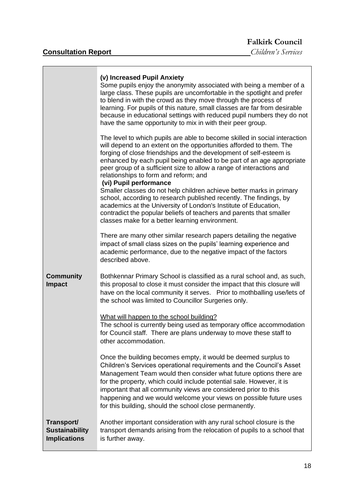## **Falkirk Council**<br>Children's Services

|                                                            | (v) Increased Pupil Anxiety<br>Some pupils enjoy the anonymity associated with being a member of a<br>large class. These pupils are uncomfortable in the spotlight and prefer<br>to blend in with the crowd as they move through the process of<br>learning. For pupils of this nature, small classes are far from desirable<br>because in educational settings with reduced pupil numbers they do not<br>have the same opportunity to mix in with their peer group.                   |
|------------------------------------------------------------|----------------------------------------------------------------------------------------------------------------------------------------------------------------------------------------------------------------------------------------------------------------------------------------------------------------------------------------------------------------------------------------------------------------------------------------------------------------------------------------|
|                                                            | The level to which pupils are able to become skilled in social interaction<br>will depend to an extent on the opportunities afforded to them. The<br>forging of close friendships and the development of self-esteem is<br>enhanced by each pupil being enabled to be part of an age appropriate<br>peer group of a sufficient size to allow a range of interactions and<br>relationships to form and reform; and<br>(vi) Pupil performance                                            |
|                                                            | Smaller classes do not help children achieve better marks in primary<br>school, according to research published recently. The findings, by<br>academics at the University of London's Institute of Education,<br>contradict the popular beliefs of teachers and parents that smaller<br>classes make for a better learning environment.                                                                                                                                                |
|                                                            | There are many other similar research papers detailing the negative<br>impact of small class sizes on the pupils' learning experience and<br>academic performance, due to the negative impact of the factors<br>described above.                                                                                                                                                                                                                                                       |
| <b>Community</b><br><b>Impact</b>                          | Bothkennar Primary School is classified as a rural school and, as such,<br>this proposal to close it must consider the impact that this closure will<br>have on the local community it serves.  Prior to mothballing use/lets of<br>the school was limited to Councillor Surgeries only.                                                                                                                                                                                               |
|                                                            | What will happen to the school building?<br>The school is currently being used as temporary office accommodation<br>for Council staff. There are plans underway to move these staff to<br>other accommodation.                                                                                                                                                                                                                                                                         |
|                                                            | Once the building becomes empty, it would be deemed surplus to<br>Children's Services operational requirements and the Council's Asset<br>Management Team would then consider what future options there are<br>for the property, which could include potential sale. However, it is<br>important that all community views are considered prior to this<br>happening and we would welcome your views on possible future uses<br>for this building, should the school close permanently. |
| Transport/<br><b>Sustainability</b><br><b>Implications</b> | Another important consideration with any rural school closure is the<br>transport demands arising from the relocation of pupils to a school that<br>is further away.                                                                                                                                                                                                                                                                                                                   |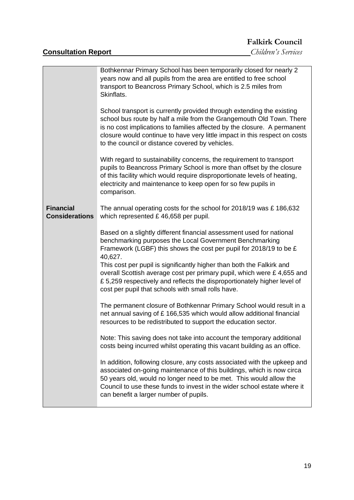# **Falkirk Council**<br>Children's Services

|                                           | Bothkennar Primary School has been temporarily closed for nearly 2<br>years now and all pupils from the area are entitled to free school<br>transport to Beancross Primary School, which is 2.5 miles from<br>Skinflats.<br>School transport is currently provided through extending the existing<br>school bus route by half a mile from the Grangemouth Old Town. There<br>is no cost implications to families affected by the closure. A permanent<br>closure would continue to have very little impact in this respect on costs<br>to the council or distance covered by vehicles.<br>With regard to sustainability concerns, the requirement to transport<br>pupils to Beancross Primary School is more than offset by the closure<br>of this facility which would require disproportionate levels of heating,<br>electricity and maintenance to keep open for so few pupils in<br>comparison. |
|-------------------------------------------|-----------------------------------------------------------------------------------------------------------------------------------------------------------------------------------------------------------------------------------------------------------------------------------------------------------------------------------------------------------------------------------------------------------------------------------------------------------------------------------------------------------------------------------------------------------------------------------------------------------------------------------------------------------------------------------------------------------------------------------------------------------------------------------------------------------------------------------------------------------------------------------------------------|
| <b>Financial</b><br><b>Considerations</b> | The annual operating costs for the school for 2018/19 was £186,632<br>which represented £46,658 per pupil.<br>Based on a slightly different financial assessment used for national<br>benchmarking purposes the Local Government Benchmarking<br>Framework (LGBF) this shows the cost per pupil for 2018/19 to be £<br>40,627.<br>This cost per pupil is significantly higher than both the Falkirk and<br>overall Scottish average cost per primary pupil, which were £ 4,655 and<br>£5,259 respectively and reflects the disproportionately higher level of<br>cost per pupil that schools with small rolls have.                                                                                                                                                                                                                                                                                 |
|                                           | The permanent closure of Bothkennar Primary School would result in a<br>net annual saving of £ 166,535 which would allow additional financial<br>resources to be redistributed to support the education sector.<br>Note: This saving does not take into account the temporary additional<br>costs being incurred whilst operating this vacant building as an office.<br>In addition, following closure, any costs associated with the upkeep and<br>associated on-going maintenance of this buildings, which is now circa<br>50 years old, would no longer need to be met. This would allow the<br>Council to use these funds to invest in the wider school estate where it<br>can benefit a larger number of pupils.                                                                                                                                                                               |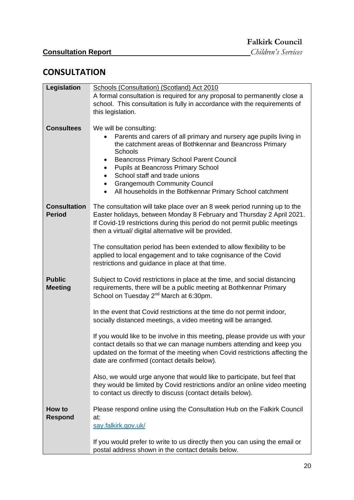## **CONSULTATION**

| Legislation                          | Schools (Consultation) (Scotland) Act 2010                                                                                                                                                                                                                                              |
|--------------------------------------|-----------------------------------------------------------------------------------------------------------------------------------------------------------------------------------------------------------------------------------------------------------------------------------------|
|                                      | A formal consultation is required for any proposal to permanently close a<br>school. This consultation is fully in accordance with the requirements of                                                                                                                                  |
|                                      | this legislation.                                                                                                                                                                                                                                                                       |
|                                      |                                                                                                                                                                                                                                                                                         |
| <b>Consultees</b>                    | We will be consulting:                                                                                                                                                                                                                                                                  |
|                                      | Parents and carers of all primary and nursery age pupils living in<br>the catchment areas of Bothkennar and Beancross Primary<br>Schools                                                                                                                                                |
|                                      | <b>Beancross Primary School Parent Council</b><br>٠<br><b>Pupils at Beancross Primary School</b><br>$\bullet$                                                                                                                                                                           |
|                                      | School staff and trade unions<br>$\bullet$                                                                                                                                                                                                                                              |
|                                      | <b>Grangemouth Community Council</b><br>$\bullet$                                                                                                                                                                                                                                       |
|                                      | All households in the Bothkennar Primary School catchment                                                                                                                                                                                                                               |
| <b>Consultation</b><br><b>Period</b> | The consultation will take place over an 8 week period running up to the<br>Easter holidays, between Monday 8 February and Thursday 2 April 2021.<br>If Covid-19 restrictions during this period do not permit public meetings<br>then a virtual/ digital alternative will be provided. |
|                                      | The consultation period has been extended to allow flexibility to be                                                                                                                                                                                                                    |
|                                      | applied to local engagement and to take cognisance of the Covid                                                                                                                                                                                                                         |
|                                      | restrictions and guidance in place at that time.                                                                                                                                                                                                                                        |
| <b>Public</b>                        | Subject to Covid restrictions in place at the time, and social distancing                                                                                                                                                                                                               |
| <b>Meeting</b>                       | requirements, there will be a public meeting at Bothkennar Primary<br>School on Tuesday 2 <sup>nd</sup> March at 6:30pm.                                                                                                                                                                |
|                                      |                                                                                                                                                                                                                                                                                         |
|                                      | In the event that Covid restrictions at the time do not permit indoor,<br>socially distanced meetings, a video meeting will be arranged.                                                                                                                                                |
|                                      | If you would like to be involve in this meeting, please provide us with your<br>contact details so that we can manage numbers attending and keep you                                                                                                                                    |
|                                      | updated on the format of the meeting when Covid restrictions affecting the<br>date are confirmed (contact details below).                                                                                                                                                               |
|                                      | Also, we would urge anyone that would like to participate, but feel that<br>they would be limited by Covid restrictions and/or an online video meeting                                                                                                                                  |
|                                      | to contact us directly to discuss (contact details below).                                                                                                                                                                                                                              |
| How to<br>Respond                    | Please respond online using the Consultation Hub on the Falkirk Council<br>at:                                                                                                                                                                                                          |
|                                      | say.falkirk.gov.uk/                                                                                                                                                                                                                                                                     |
|                                      | If you would prefer to write to us directly then you can using the email or                                                                                                                                                                                                             |
|                                      | postal address shown in the contact details below.                                                                                                                                                                                                                                      |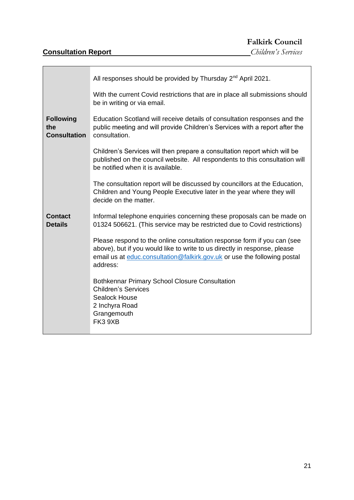|                                                | All responses should be provided by Thursday 2 <sup>nd</sup> April 2021.                                                                                                                                                                     |
|------------------------------------------------|----------------------------------------------------------------------------------------------------------------------------------------------------------------------------------------------------------------------------------------------|
|                                                | With the current Covid restrictions that are in place all submissions should<br>be in writing or via email.                                                                                                                                  |
| <b>Following</b><br>the<br><b>Consultation</b> | Education Scotland will receive details of consultation responses and the<br>public meeting and will provide Children's Services with a report after the<br>consultation.                                                                    |
|                                                | Children's Services will then prepare a consultation report which will be<br>published on the council website. All respondents to this consultation will<br>be notified when it is available.                                                |
|                                                | The consultation report will be discussed by councillors at the Education,<br>Children and Young People Executive later in the year where they will<br>decide on the matter.                                                                 |
| <b>Contact</b><br><b>Details</b>               | Informal telephone enquiries concerning these proposals can be made on<br>01324 506621. (This service may be restricted due to Covid restrictions)                                                                                           |
|                                                | Please respond to the online consultation response form if you can (see<br>above), but if you would like to write to us directly in response, please<br>email us at educ.consultation@falkirk.gov.uk or use the following postal<br>address: |
|                                                | <b>Bothkennar Primary School Closure Consultation</b><br><b>Children's Services</b><br><b>Sealock House</b><br>2 Inchyra Road<br>Grangemouth<br>FK3 9XB                                                                                      |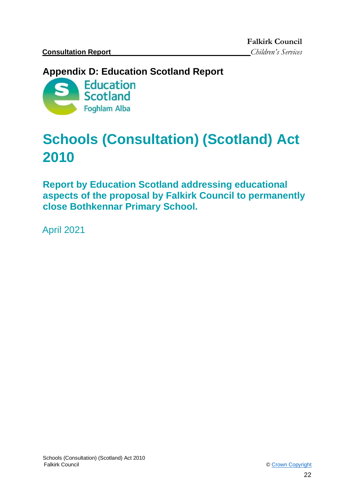**Falkirk Council** 

## <span id="page-21-0"></span>**Appendix D: Education Scotland Report**



## **Schools (Consultation) (Scotland) Act 2010**

**Report by Education Scotland addressing educational aspects of the proposal by Falkirk Council to permanently close Bothkennar Primary School.** 

April 2021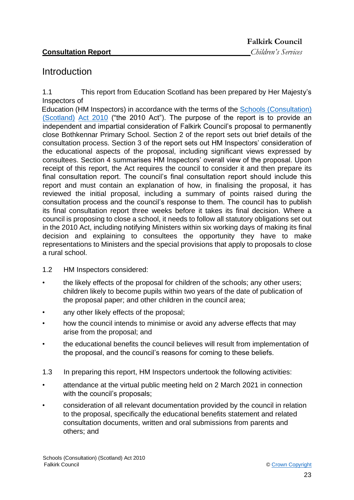## <span id="page-22-0"></span>**Introduction**

1.1 This report from Education Scotland has been prepared by Her Majesty's Inspectors of

Education (HM Inspectors) in accordance with the terms of the [Schools \(Consultation\)](https://www.google.co.uk/url?sa=t&rct=j&q=&esrc=s&source=web&cd=1&cad=rja&uact=8&ved=2ahUKEwj9-7GYkvLeAhXOasAKHT9vCtMQFjAAegQICRAB&url=https%3A%2F%2Fwww.legislation.gov.uk%2Fasp%2F2010%2F2%2Fcontents&usg=AOvVaw2lRwXOuXBCn_fz2wA9W6o2) [\(Scotland\)](https://www.google.co.uk/url?sa=t&rct=j&q=&esrc=s&source=web&cd=1&cad=rja&uact=8&ved=2ahUKEwj9-7GYkvLeAhXOasAKHT9vCtMQFjAAegQICRAB&url=https%3A%2F%2Fwww.legislation.gov.uk%2Fasp%2F2010%2F2%2Fcontents&usg=AOvVaw2lRwXOuXBCn_fz2wA9W6o2) [Act 2010](https://www.google.co.uk/url?sa=t&rct=j&q=&esrc=s&source=web&cd=1&cad=rja&uact=8&ved=2ahUKEwj9-7GYkvLeAhXOasAKHT9vCtMQFjAAegQICRAB&url=https%3A%2F%2Fwww.legislation.gov.uk%2Fasp%2F2010%2F2%2Fcontents&usg=AOvVaw2lRwXOuXBCn_fz2wA9W6o2) [\("](https://www.google.co.uk/url?sa=t&rct=j&q=&esrc=s&source=web&cd=1&cad=rja&uact=8&ved=2ahUKEwj9-7GYkvLeAhXOasAKHT9vCtMQFjAAegQICRAB&url=https%3A%2F%2Fwww.legislation.gov.uk%2Fasp%2F2010%2F2%2Fcontents&usg=AOvVaw2lRwXOuXBCn_fz2wA9W6o2)the 2010 Act"). The purpose of the report is to provide an independent and impartial consideration of Falkirk Council's proposal to permanently close Bothkennar Primary School. Section 2 of the report sets out brief details of the consultation process. Section 3 of the report sets out HM Inspectors' consideration of the educational aspects of the proposal, including significant views expressed by consultees. Section 4 summarises HM Inspectors' overall view of the proposal. Upon receipt of this report, the Act requires the council to consider it and then prepare its final consultation report. The council's final consultation report should include this report and must contain an explanation of how, in finalising the proposal, it has reviewed the initial proposal, including a summary of points raised during the consultation process and the council's response to them. The council has to publish its final consultation report three weeks before it takes its final decision. Where a council is proposing to close a school, it needs to follow all statutory obligations set out in the 2010 Act, including notifying Ministers within six working days of making its final decision and explaining to consultees the opportunity they have to make representations to Ministers and the special provisions that apply to proposals to close a rural school.

- 1.2 HM Inspectors considered:
- the likely effects of the proposal for children of the schools; any other users; children likely to become pupils within two years of the date of publication of the proposal paper; and other children in the council area;
- any other likely effects of the proposal;
- how the council intends to minimise or avoid any adverse effects that may arise from the proposal; and
- the educational benefits the council believes will result from implementation of the proposal, and the council's reasons for coming to these beliefs.
- 1.3 In preparing this report, HM Inspectors undertook the following activities:
- attendance at the virtual public meeting held on 2 March 2021 in connection with the council's proposals;
- consideration of all relevant documentation provided by the council in relation to the proposal, specifically the educational benefits statement and related consultation documents, written and oral submissions from parents and others; and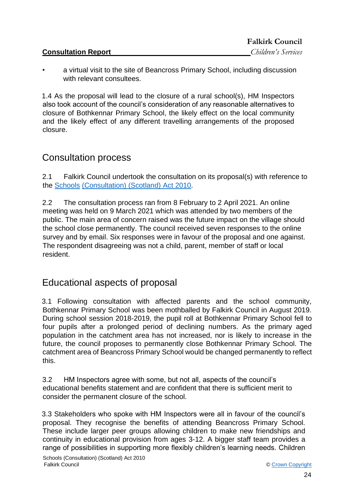|                            | <b>FAIKITK COUNCIL</b> |
|----------------------------|------------------------|
| <b>Consultation Report</b> | Children's Services    |

 $F_1 H_1 A_2$ 

• a virtual visit to the site of Beancross Primary School, including discussion with relevant consultees.

1.4 As the proposal will lead to the closure of a rural school(s), HM Inspectors also took account of the council's consideration of any reasonable alternatives to closure of Bothkennar Primary School, the likely effect on the local community and the likely effect of any different travelling arrangements of the proposed closure.

## <span id="page-23-0"></span>Consultation process

2.1 Falkirk Council undertook the consultation on its proposal(s) with reference to the [Schools](https://www.google.co.uk/url?sa=t&rct=j&q=&esrc=s&source=web&cd=1&cad=rja&uact=8&ved=2ahUKEwj9-7GYkvLeAhXOasAKHT9vCtMQFjAAegQICRAB&url=https%3A%2F%2Fwww.legislation.gov.uk%2Fasp%2F2010%2F2%2Fcontents&usg=AOvVaw2lRwXOuXBCn_fz2wA9W6o2) [\(Consultation\) \(Scotland\) Act 2010.](https://www.google.co.uk/url?sa=t&rct=j&q=&esrc=s&source=web&cd=1&cad=rja&uact=8&ved=2ahUKEwj9-7GYkvLeAhXOasAKHT9vCtMQFjAAegQICRAB&url=https%3A%2F%2Fwww.legislation.gov.uk%2Fasp%2F2010%2F2%2Fcontents&usg=AOvVaw2lRwXOuXBCn_fz2wA9W6o2)

2.2 The consultation process ran from 8 February to 2 April 2021. An online meeting was held on 9 March 2021 which was attended by two members of the public. The main area of concern raised was the future impact on the village should the school close permanently. The council received seven responses to the online survey and by email. Six responses were in favour of the proposal and one against. The respondent disagreeing was not a child, parent, member of staff or local resident.

## <span id="page-23-1"></span>Educational aspects of proposal

3.1 Following consultation with affected parents and the school community, Bothkennar Primary School was been mothballed by Falkirk Council in August 2019. During school session 2018-2019, the pupil roll at Bothkennar Primary School fell to four pupils after a prolonged period of declining numbers. As the primary aged population in the catchment area has not increased, nor is likely to increase in the future, the council proposes to permanently close Bothkennar Primary School. The catchment area of Beancross Primary School would be changed permanently to reflect this.

3.2 HM Inspectors agree with some, but not all, aspects of the council's educational benefits statement and are confident that there is sufficient merit to consider the permanent closure of the school.

3.3 Stakeholders who spoke with HM Inspectors were all in favour of the council's proposal. They recognise the benefits of attending Beancross Primary School. These include larger peer groups allowing children to make new friendships and continuity in educational provision from ages 3-12. A bigger staff team provides a range of possibilities in supporting more flexibly children's learning needs. Children